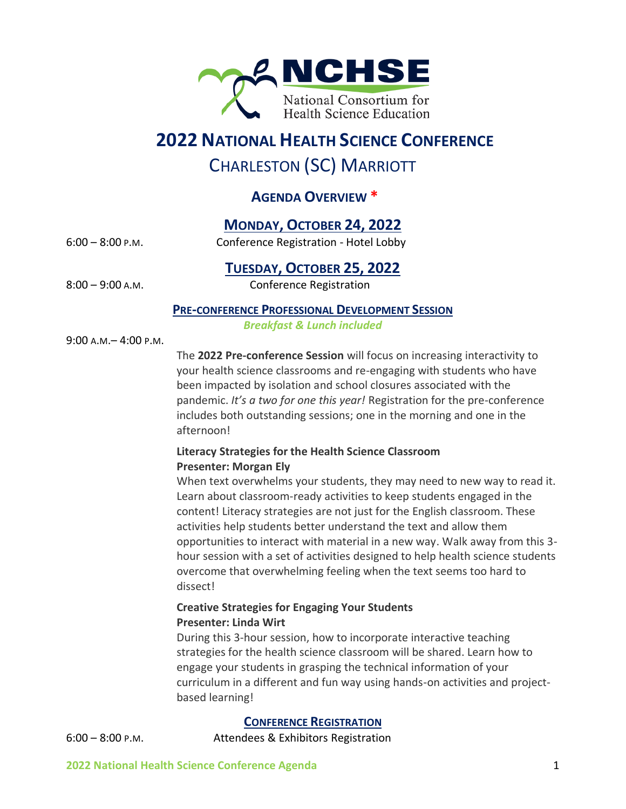

# **2022 NATIONAL HEALTH SCIENCE CONFERENCE**

# CHARLESTON (SC) MARRIOTT

## **AGENDA OVERVIEW \***

## **MONDAY, OCTOBER 24, 2022**

## 6:00 – 8:00 P.M. Conference Registration - Hotel Lobby

### **TUESDAY, OCTOBER 25, 2022**

8:00 – 9:00 A.M. Conference Registration

#### **PRE-CONFERENCE PROFESSIONAL DEVELOPMENT SESSION**

*Breakfast & Lunch included*

9:00 A.M.– 4:00 P.M.

The **2022 Pre-conference Session** will focus on increasing interactivity to your health science classrooms and re-engaging with students who have been impacted by isolation and school closures associated with the pandemic. *It's a two for one this year!* Registration for the pre-conference includes both outstanding sessions; one in the morning and one in the afternoon!

#### **Literacy Strategies for the Health Science Classroom Presenter: Morgan Ely**

When text overwhelms your students, they may need to new way to read it. Learn about classroom-ready activities to keep students engaged in the content! Literacy strategies are not just for the English classroom. These activities help students better understand the text and allow them opportunities to interact with material in a new way. Walk away from this 3 hour session with a set of activities designed to help health science students overcome that overwhelming feeling when the text seems too hard to dissect!

#### **Creative Strategies for Engaging Your Students Presenter: Linda Wirt**

During this 3-hour session, how to incorporate interactive teaching strategies for the health science classroom will be shared. Learn how to engage your students in grasping the technical information of your curriculum in a different and fun way using hands-on activities and projectbased learning!

#### **CONFERENCE REGISTRATION**

6:00 – 8:00 P.M. Attendees & Exhibitors Registration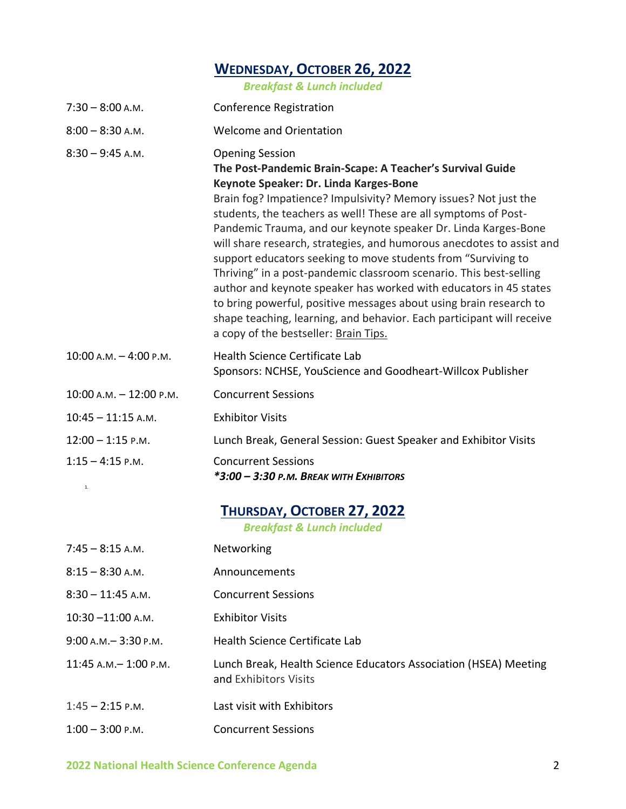## **WEDNESDAY, OCTOBER 26, 2022**

*Breakfast & Lunch included*

| $7:30 - 8:00$ A.M.          | <b>Conference Registration</b>                                                                                                                                                                                                                                                                                                                                                                                                                                                                                                                                                                                                                                                                                                                                                                                     |
|-----------------------------|--------------------------------------------------------------------------------------------------------------------------------------------------------------------------------------------------------------------------------------------------------------------------------------------------------------------------------------------------------------------------------------------------------------------------------------------------------------------------------------------------------------------------------------------------------------------------------------------------------------------------------------------------------------------------------------------------------------------------------------------------------------------------------------------------------------------|
| $8:00 - 8:30$ A.M.          | <b>Welcome and Orientation</b>                                                                                                                                                                                                                                                                                                                                                                                                                                                                                                                                                                                                                                                                                                                                                                                     |
| $8:30 - 9:45$ A.M.          | <b>Opening Session</b><br>The Post-Pandemic Brain-Scape: A Teacher's Survival Guide<br>Keynote Speaker: Dr. Linda Karges-Bone<br>Brain fog? Impatience? Impulsivity? Memory issues? Not just the<br>students, the teachers as well! These are all symptoms of Post-<br>Pandemic Trauma, and our keynote speaker Dr. Linda Karges-Bone<br>will share research, strategies, and humorous anecdotes to assist and<br>support educators seeking to move students from "Surviving to<br>Thriving" in a post-pandemic classroom scenario. This best-selling<br>author and keynote speaker has worked with educators in 45 states<br>to bring powerful, positive messages about using brain research to<br>shape teaching, learning, and behavior. Each participant will receive<br>a copy of the bestseller: Brain Tips. |
| $10:00$ A.M. $-4:00$ P.M.   | Health Science Certificate Lab<br>Sponsors: NCHSE, YouScience and Goodheart-Willcox Publisher                                                                                                                                                                                                                                                                                                                                                                                                                                                                                                                                                                                                                                                                                                                      |
| $10:00$ A.M. $- 12:00$ P.M. | <b>Concurrent Sessions</b>                                                                                                                                                                                                                                                                                                                                                                                                                                                                                                                                                                                                                                                                                                                                                                                         |
| $10:45 - 11:15$ A.M.        | <b>Exhibitor Visits</b>                                                                                                                                                                                                                                                                                                                                                                                                                                                                                                                                                                                                                                                                                                                                                                                            |
| $12:00 - 1:15$ P.M.         | Lunch Break, General Session: Guest Speaker and Exhibitor Visits                                                                                                                                                                                                                                                                                                                                                                                                                                                                                                                                                                                                                                                                                                                                                   |
| $1:15 - 4:15$ P.M.<br>1.    | <b>Concurrent Sessions</b><br>$*3:00 - 3:30$ P.M. BREAK WITH EXHIBITORS                                                                                                                                                                                                                                                                                                                                                                                                                                                                                                                                                                                                                                                                                                                                            |

## **THURSDAY, OCTOBER 27, 2022**

*Breakfast & Lunch included*

| $7:45 - 8:15$ A.M.        | Networking                                                                                |
|---------------------------|-------------------------------------------------------------------------------------------|
| $8:15 - 8:30$ A.M.        | Announcements                                                                             |
| $8:30 - 11:45$ A.M.       | <b>Concurrent Sessions</b>                                                                |
| $10:30 - 11:00$ A.M.      | <b>Exhibitor Visits</b>                                                                   |
| $9:00$ A.M. $-3:30$ P.M.  | Health Science Certificate Lab                                                            |
| $11:45$ A.M. $-1:00$ P.M. | Lunch Break, Health Science Educators Association (HSEA) Meeting<br>and Exhibitors Visits |
| $1:45 - 2:15$ P.M.        | Last visit with Exhibitors                                                                |
| $1:00 - 3:00$ P.M.        | <b>Concurrent Sessions</b>                                                                |